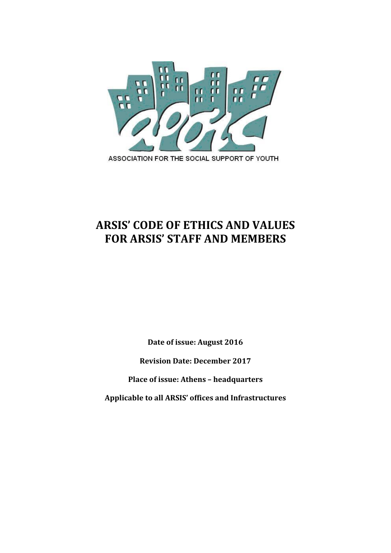

# **ARSIS' CODE OF ETHICS AND VALUES FOR ARSIS' STAFF AND MEMBERS**

**Date of issue: August 2016**

**Revision Date: December 2017**

**Place of issue: Athens – headquarters**

**Applicable to all ARSIS' offices and Infrastructures**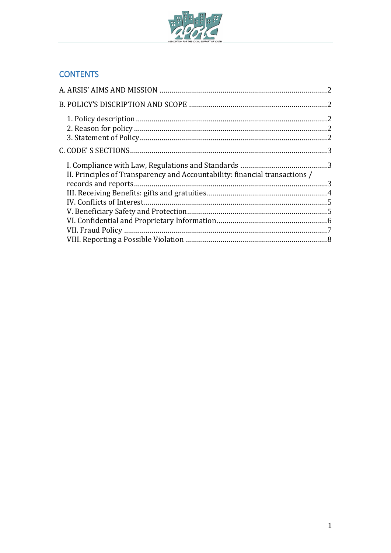

# **CONTENTS**

| II. Principles of Transparency and Accountability: financial transactions / |  |
|-----------------------------------------------------------------------------|--|
|                                                                             |  |
|                                                                             |  |
|                                                                             |  |
|                                                                             |  |
|                                                                             |  |
|                                                                             |  |
|                                                                             |  |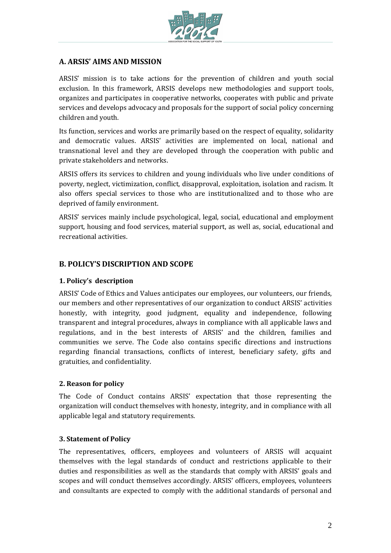

# <span id="page-2-0"></span>**A. ARSIS' AIMS AND MISSION**

ARSIS' mission is to take actions for the prevention of children and youth social exclusion. In this framework, ARSIS develops new methodologies and support tools, organizes and participates in cooperative networks, cooperates with public and private services and develops advocacy and proposals for the support of social policy concerning children and youth.

Its function, services and works are primarily based on the respect of equality, solidarity and democratic values. ARSIS' activities are implemented on local, national and transnational level and they are developed through the cooperation with public and private stakeholders and networks.

ARSIS offers its services to children and young individuals who live under conditions of poverty, neglect, victimization, conflict, disapproval, exploitation, isolation and racism. It also offers special services to those who are institutionalized and to those who are deprived of family environment.

ARSIS' services mainly include psychological, legal, social, educational and employment support, housing and food services, material support, as well as, social, educational and recreational activities.

# <span id="page-2-1"></span>**B. POLICY'S DISCRIPTION AND SCOPE**

#### <span id="page-2-2"></span>**1. Policy's description**

ARSIS' Code of Ethics and Values anticipates our employees, our volunteers, our friends, our members and other representatives of our organization to conduct ARSIS' activities honestly, with integrity, good judgment, equality and independence, following transparent and integral procedures, always in compliance with all applicable laws and regulations, and in the best interests of ARSIS' and the children, families and communities we serve. The Code also contains specific directions and instructions regarding financial transactions, conflicts of interest, beneficiary safety, gifts and gratuities, and confidentiality.

#### <span id="page-2-3"></span>**2. Reason for policy**

The Code of Conduct contains ARSIS' expectation that those representing the organization will conduct themselves with honesty, integrity, and in compliance with all applicable legal and statutory requirements.

#### <span id="page-2-4"></span>**3. Statement of Policy**

The representatives, officers, employees and volunteers of ARSIS will acquaint themselves with the legal standards of conduct and restrictions applicable to their duties and responsibilities as well as the standards that comply with ARSIS' goals and scopes and will conduct themselves accordingly. ARSIS' officers, employees, volunteers and consultants are expected to comply with the additional standards of personal and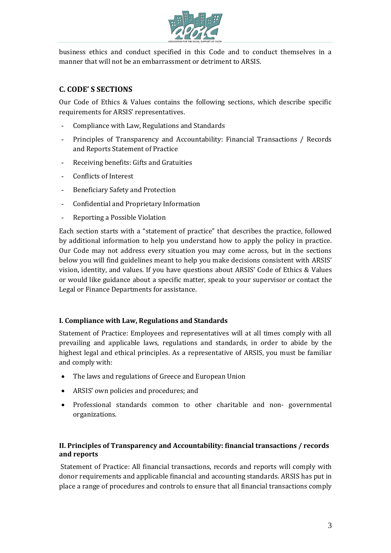

business ethics and conduct specified in this Code and to conduct themselves in a manner that will not be an embarrassment or detriment to ARSIS.

# <span id="page-3-0"></span>**C. CODE' S SECTIONS**

Our Code of Ethics & Values contains the following sections, which describe specific requirements for ARSIS' representatives.

- Compliance with Law, Regulations and Standards
- Principles of Transparency and Accountability: Financial Transactions / Records and Reports Statement of Practice
- Receiving benefits: Gifts and Gratuities
- Conflicts of Interest
- Beneficiary Safety and Protection
- Confidential and Proprietary Information
- Reporting a Possible Violation

Each section starts with a "statement of practice" that describes the practice, followed by additional information to help you understand how to apply the policy in practice. Our Code may not address every situation you may come across, but in the sections below you will find guidelines meant to help you make decisions consistent with ARSIS' vision, identity, and values. If you have questions about ARSIS' Code of Ethics & Values or would like guidance about a specific matter, speak to your supervisor or contact the Legal or Finance Departments for assistance.

#### <span id="page-3-1"></span>**I. Compliance with Law, Regulations and Standards**

Statement of Practice: Employees and representatives will at all times comply with all prevailing and applicable laws, regulations and standards, in order to abide by the highest legal and ethical principles. As a representative of ARSIS, you must be familiar and comply with:

- The laws and regulations of Greece and European Union
- ARSIS' own policies and procedures; and
- Professional standards common to other charitable and non- governmental organizations.

#### <span id="page-3-2"></span>**II. Principles of Transparency and Accountability: financial transactions / records and reports**

Statement of Practice: All financial transactions, records and reports will comply with donor requirements and applicable financial and accounting standards. ARSIS has put in place a range of procedures and controls to ensure that all financial transactions comply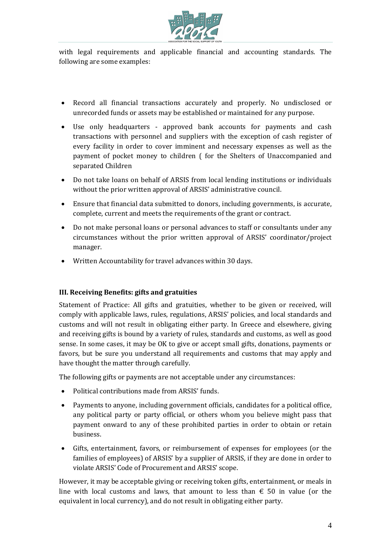

with legal requirements and applicable financial and accounting standards. The following are some examples:

- Record all financial transactions accurately and properly. No undisclosed or unrecorded funds or assets may be established or maintained for any purpose.
- Use only headquarters approved bank accounts for payments and cash transactions with personnel and suppliers with the exception of cash register of every facility in order to cover imminent and necessary expenses as well as the payment of pocket money to children ( for the Shelters of Unaccompanied and separated Children
- Do not take loans on behalf of ARSIS from local lending institutions or individuals without the prior written approval of ARSIS' administrative council.
- Ensure that financial data submitted to donors, including governments, is accurate, complete, current and meets the requirements of the grant or contract.
- Do not make personal loans or personal advances to staff or consultants under any circumstances without the prior written approval of ARSIS' coordinator/project manager.
- Written Accountability for travel advances within 30 days.

# <span id="page-4-0"></span>**III. Receiving Benefits: gifts and gratuities**

Statement of Practice: All gifts and gratuities, whether to be given or received, will comply with applicable laws, rules, regulations, ARSIS' policies, and local standards and customs and will not result in obligating either party. In Greece and elsewhere, giving and receiving gifts is bound by a variety of rules, standards and customs, as well as good sense. In some cases, it may be OK to give or accept small gifts, donations, payments or favors, but be sure you understand all requirements and customs that may apply and have thought the matter through carefully.

The following gifts or payments are not acceptable under any circumstances:

- Political contributions made from ARSIS' funds.
- Payments to anyone, including government officials, candidates for a political office, any political party or party official, or others whom you believe might pass that payment onward to any of these prohibited parties in order to obtain or retain business.
- Gifts, entertainment, favors, or reimbursement of expenses for employees (or the families of employees) of ARSIS' by a supplier of ARSIS, if they are done in order to violate ΑRSIS' Code of Procurement and ARSIS' scope.

However, it may be acceptable giving or receiving token gifts, entertainment, or meals in line with local customs and laws, that amount to less than  $\epsilon$  50 in value (or the equivalent in local currency), and do not result in obligating either party.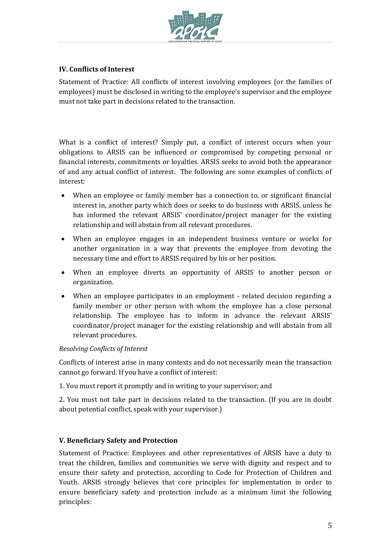

# <span id="page-5-0"></span>**IV. Conflicts of Interest**

Statement of Practice: All conflicts of interest involving employees (or the families of employees) must be disclosed in writing to the employee's supervisor and the employee must not take part in decisions related to the transaction.

What is a conflict of interest? Simply put, a conflict of interest occurs when your obligations to ARSIS can be influenced or compromised by competing personal or financial interests, commitments or loyalties. ARSIS seeks to avoid both the appearance of and any actual conflict of interest. The following are some examples of conflicts of interest:

- When an employee or family member has a connection to, or significant financial interest in, another party which does or seeks to do business with ARSIS, unless he has informed the relevant ARSIS' coordinator/project manager for the existing relationship and will abstain from all relevant procedures.
- When an employee engages in an independent business venture or works for another organization in a way that prevents the employee from devoting the necessary time and effort to ARSIS required by his or her position.
- When an employee diverts an opportunity of ARSIS to another person or organization.
- When an employee participates in an employment related decision regarding a family member or other person with whom the employee has a close personal relationship. The employee has to inform in advance the relevant ARSIS' coordinator/project manager for the existing relationship and will abstain from all relevant procedures.

#### *Resolving Conflicts of Interest*

Conflicts of interest arise in many contexts and do not necessarily mean the transaction cannot go forward. If you have a conflict of interest:

1. You must report it promptly and in writing to your supervisor; and

2. You must not take part in decisions related to the transaction. (If you are in doubt about potential conflict, speak with your supervisor.)

#### <span id="page-5-1"></span>**V. Beneficiary Safety and Protection**

Statement of Practice: Employees and other representatives of ARSIS have a duty to treat the children, families and communities we serve with dignity and respect and to ensure their safety and protection, according to Code for Protection of Children and Youth. ARSIS strongly believes that core principles for implementation in order to ensure beneficiary safety and protection include as a minimum limit the following principles: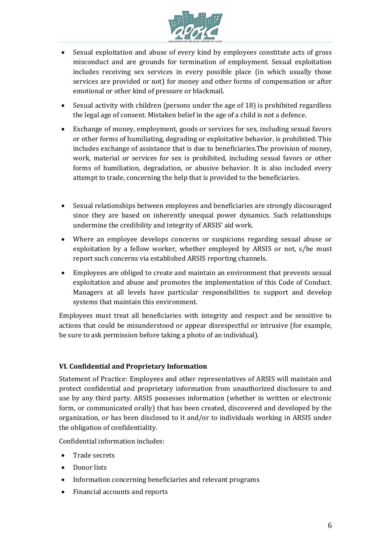

- Sexual exploitation and abuse of every kind by employees constitute acts of gross misconduct and are grounds for termination of employment. Sexual exploitation includes receiving sex services in every possible place (in which usually those services are provided or not) for money and other forms of compensation or after emotional or other kind of pressure or blackmail.
- Sexual activity with children (persons under the age of 18) is prohibited regardless the legal age of consent. Mistaken belief in the age of a child is not a defence.
- Exchange of money, employment, goods or services for sex, including sexual favors or other forms of humiliating, degrading or exploitative behavior, is prohibited. This includes exchange of assistance that is due to beneficiaries.The provision of money, work, material or services for sex is prohibited, including sexual favors or other forms of humiliation, degradation, or abusive behavior. It is also included every attempt to trade, concerning the help that is provided to the beneficiaries.
- Sexual relationships between employees and beneficiaries are strongly discouraged since they are based on inherently unequal power dynamics. Such relationships undermine the credibility and integrity of ARSIS' aid work.
- Where an employee develops concerns or suspicions regarding sexual abuse or exploitation by a fellow worker, whether employed by ARSIS or not, s/he must report such concerns via established ARSIS reporting channels.
- Employees are obliged to create and maintain an environment that prevents sexual exploitation and abuse and promotes the implementation of this Code of Conduct. Managers at all levels have particular responsibilities to support and develop systems that maintain this environment.

Employees must treat all beneficiaries with integrity and respect and be sensitive to actions that could be misunderstood or appear disrespectful or intrusive (for example, be sure to ask permission before taking a photo of an indiνidual).

# <span id="page-6-0"></span>**VI. Confidential and Proprietary Information**

Statement of Practice: Employees and other representatives of ARSIS will maintain and protect confidential and proprietary information from unauthorized disclosure to and use by any third party. ARSIS possesses information (whether in written or electronic form, or communicated orally) that has been created, discovered and developed by the organization, or has been disclosed to it and/or to individuals working in ARSIS under the obligation of confidentiality.

Confidential information includes:

- Trade secrets
- Donor lists
- Information concerning beneficiaries and relevant programs
- Financial accounts and reports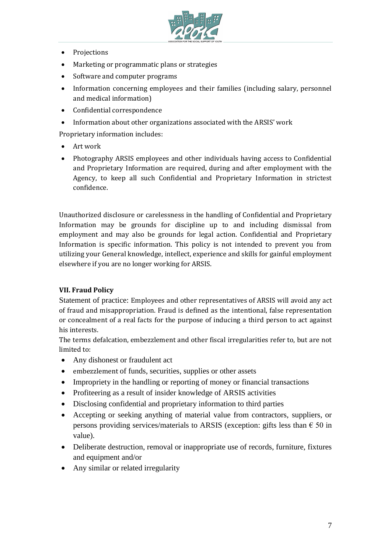

- Projections
- Marketing or programmatic plans or strategies
- Software and computer programs
- Information concerning employees and their families (including salary, personnel and medical information)
- Confidential correspondence
- Information about other organizations associated with the ARSIS' work

Proprietary information includes:

- Art work
- Photography ARSIS employees and other individuals having access to Confidential and Proprietary Information are required, during and after employment with the Agency, to keep all such Confidential and Proprietary Information in strictest confidence.

Unauthorized disclosure or carelessness in the handling of Confidential and Proprietary Information may be grounds for discipline up to and including dismissal from employment and may also be grounds for legal action. Confidential and Proprietary Information is specific information. This policy is not intended to prevent you from utilizing your General knowledge, intellect, experience and skills for gainful employment elsewhere if you are no longer working for ARSIS.

# <span id="page-7-0"></span>**VII. Fraud Policy**

Statement of practice: Employees and other representatives of ARSIS will avoid any act of fraud and misappropriation. Fraud is defined as the intentional, false representation or concealment of a real facts for the purpose of inducing a third person to act against his interests.

The terms defalcation, embezzlement and other fiscal irregularities refer to, but are not limited to:

- Any dishonest or fraudulent act
- embezzlement of funds, securities, supplies or other assets
- Impropriety in the handling or reporting of money or financial transactions
- Profiteering as a result of insider knowledge of ARSIS activities
- Disclosing confidential and proprietary information to third parties
- Accepting or seeking anything of material value from contractors, suppliers, or persons providing services/materials to ARSIS (exception: gifts less than  $\epsilon$  50 in value).
- Deliberate destruction, removal or inappropriate use of records, furniture, fixtures and equipment and/or
- Any similar or related irregularity